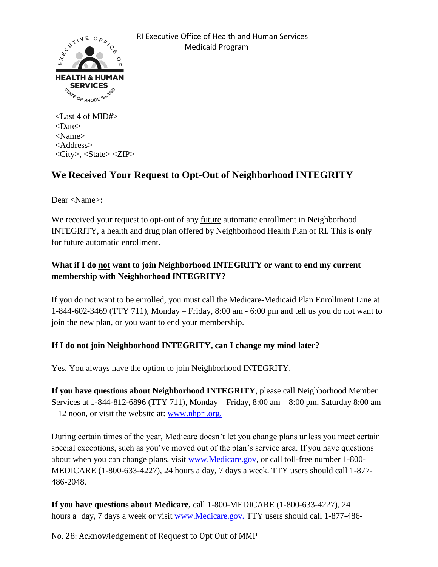

<Last 4 of MID#> <Date> <Name> <Address> <City>, <State> <ZIP>

## **We Received Your Request to Opt-Out of Neighborhood INTEGRITY**

Dear <Name>:

We received your request to opt-out of any future automatic enrollment in Neighborhood INTEGRITY, a health and drug plan offered by Neighborhood Health Plan of RI. This is **only** for future automatic enrollment.

## **What if I do not want to join Neighborhood INTEGRITY or want to end my current membership with Neighborhood INTEGRITY?**

If you do not want to be enrolled, you must call the Medicare-Medicaid Plan Enrollment Line at 1-844-602-3469 (TTY 711), Monday – Friday, 8:00 am - 6:00 pm and tell us you do not want to join the new plan, or you want to end your membership.

## **If I do not join Neighborhood INTEGRITY, can I change my mind later?**

Yes. You always have the option to join Neighborhood INTEGRITY.

**If you have questions about Neighborhood INTEGRITY**, please call Neighborhood Member Services at 1-844-812-6896 (TTY 711), Monday – Friday, 8:00 am – 8:00 pm, Saturday 8:00 am  $-12$  noon, or visit the website at: [www.nhpri.org.](http://www.nhpri.org/)

During certain times of the year, Medicare doesn't let you change plans unless you meet certain special exceptions, such as you've moved out of the plan's service area. If you have questions about when you can change plans, visit www.Medicare.gov, or call toll-free number 1-800- MEDICARE (1-800-633-4227), 24 hours a day, 7 days a week. TTY users should call 1-877- 486-2048.

**If you have questions about Medicare,** call 1-800-MEDICARE (1-800-633-4227), 24 hours a day, 7 days a week or visit [www.Medicare.gov.](http://www.medicare.gov./) TTY users should call 1-877-486-

No. 28: Acknowledgement of Request to Opt Out of MMP